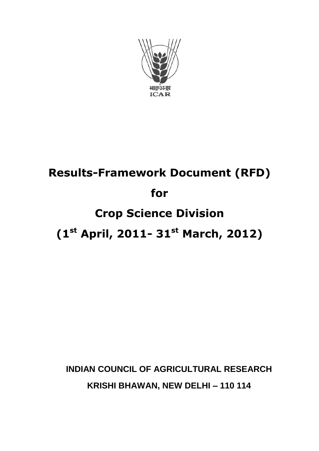

# **Results-Framework Document (RFD) for Crop Science Division**

## **(1st April, 2011- 31st March, 2012)**

### **INDIAN COUNCIL OF AGRICULTURAL RESEARCH KRISHI BHAWAN, NEW DELHI – 110 114**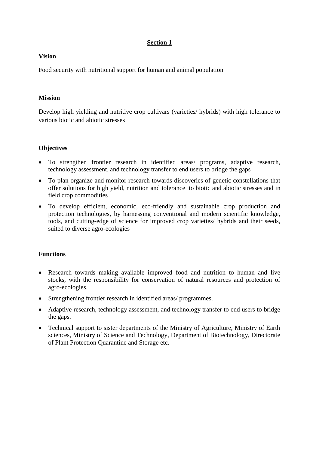#### **Section 1**

#### **Vision**

Food security with nutritional support for human and animal population

#### **Mission**

Develop high yielding and nutritive crop cultivars (varieties/ hybrids) with high tolerance to various biotic and abiotic stresses

#### **Objectives**

- To strengthen frontier research in identified areas/ programs, adaptive research, technology assessment, and technology transfer to end users to bridge the gaps
- To plan organize and monitor research towards discoveries of genetic constellations that offer solutions for high yield, nutrition and tolerance to biotic and abiotic stresses and in field crop commodities
- To develop efficient, economic, eco-friendly and sustainable crop production and protection technologies, by harnessing conventional and modern scientific knowledge, tools, and cutting-edge of science for improved crop varieties/ hybrids and their seeds, suited to diverse agro-ecologies

#### **Functions**

- Research towards making available improved food and nutrition to human and live stocks, with the responsibility for conservation of natural resources and protection of agro-ecologies.
- Strengthening frontier research in identified areas/ programmes.
- Adaptive research, technology assessment, and technology transfer to end users to bridge the gaps.
- Technical support to sister departments of the Ministry of Agriculture, Ministry of Earth sciences, Ministry of Science and Technology, Department of Biotechnology, Directorate of Plant Protection Quarantine and Storage etc.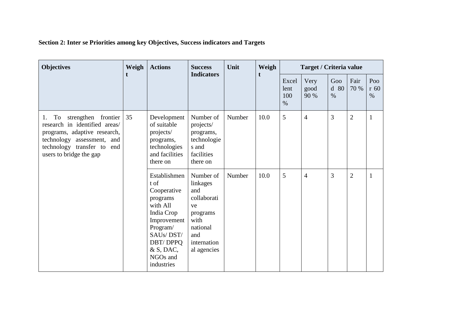| Section 2: Inter se Priorities among key Objectives, Success indicators and Targets |  |
|-------------------------------------------------------------------------------------|--|
|-------------------------------------------------------------------------------------|--|

| <b>Objectives</b>                                                                                                                                                                          | Weigh | <b>Actions</b>                                                                                                                                                                | <b>Success</b>                                                                                                         | Unit   | Weigh | Target / Criteria value      |                      |                     |                |                       |  |
|--------------------------------------------------------------------------------------------------------------------------------------------------------------------------------------------|-------|-------------------------------------------------------------------------------------------------------------------------------------------------------------------------------|------------------------------------------------------------------------------------------------------------------------|--------|-------|------------------------------|----------------------|---------------------|----------------|-----------------------|--|
|                                                                                                                                                                                            | t     |                                                                                                                                                                               | <b>Indicators</b>                                                                                                      |        |       | Excel<br>lent<br>100<br>$\%$ | Very<br>good<br>90 % | Goo<br>d 80<br>$\%$ | Fair<br>70 %   | Poo<br>$r$ 60<br>$\%$ |  |
| strengthen frontier<br>To<br>1.<br>research in identified areas/<br>programs, adaptive research,<br>technology assessment, and<br>technology transfer to<br>end<br>users to bridge the gap | 35    | Development<br>of suitable<br>projects/<br>programs,<br>technologies<br>and facilities<br>there on                                                                            | Number of<br>projects/<br>programs,<br>technologie<br>s and<br>facilities<br>there on                                  | Number | 10.0  | 5                            | $\overline{4}$       | 3                   | $\overline{2}$ | 1                     |  |
|                                                                                                                                                                                            |       | Establishmen<br>t of<br>Cooperative<br>programs<br>with All<br>India Crop<br>Improvement<br>Program/<br>SAUs/DST/<br><b>DBT/DPPQ</b><br>$&$ S, DAC,<br>NGOs and<br>industries | Number of<br>linkages<br>and<br>collaborati<br>ve<br>programs<br>with<br>national<br>and<br>internation<br>al agencies | Number | 10.0  | 5                            | $\overline{4}$       | 3                   | $\overline{2}$ |                       |  |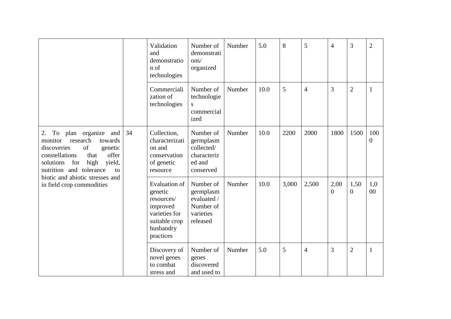|                                                                                                                                                                                                                                                                           |    | Validation<br>and<br>demonstratio<br>n of<br>technologies                                                             | Number of<br>demonstrati<br>ons/<br>organized                               | Number | 5.0  | 8     | 5              | $\overline{4}$         | 3                      | $\overline{2}$          |
|---------------------------------------------------------------------------------------------------------------------------------------------------------------------------------------------------------------------------------------------------------------------------|----|-----------------------------------------------------------------------------------------------------------------------|-----------------------------------------------------------------------------|--------|------|-------|----------------|------------------------|------------------------|-------------------------|
|                                                                                                                                                                                                                                                                           |    | Commerciali<br>zation of<br>technologies                                                                              | Number of<br>technologie<br>S<br>commercial<br>ized                         | Number | 10.0 | 5     | $\overline{4}$ | 3                      | $\overline{2}$         | $\mathbf{1}$            |
| To plan organize<br>2.<br>and<br>research<br>towards<br>monitor<br>of<br>discoveries<br>genetic<br>offer<br>constellations<br>that<br>yield,<br>for<br>high<br>solutions<br>nutrition and tolerance<br>to<br>biotic and abiotic stresses and<br>in field crop commodities | 34 | Collection,<br>characterizati<br>on and<br>conservation<br>of genetic<br>resource                                     | Number of<br>germplasm<br>collected/<br>characteriz<br>ed and<br>conserved  | Number | 10.0 | 2200  | 2000           | 1800                   | 1500                   | 100<br>$\boldsymbol{0}$ |
|                                                                                                                                                                                                                                                                           |    | <b>Evaluation of</b><br>genetic<br>resources/<br>improved<br>varieties for<br>suitable crop<br>husbandry<br>practices | Number of<br>germplasm<br>evaluated /<br>Number of<br>varieties<br>released | Number | 10.0 | 3,000 | 2,500          | 2,00<br>$\overline{0}$ | 1,50<br>$\overline{0}$ | 1,0<br>00               |
|                                                                                                                                                                                                                                                                           |    | Discovery of<br>novel genes<br>to combat<br>stress and                                                                | Number of<br>genes<br>discovered<br>and used to                             | Number | 5.0  | 5     | $\overline{4}$ | $\overline{3}$         | $\overline{2}$         | 1                       |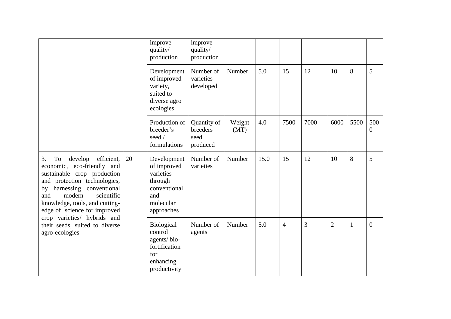|                                                                                                                                                                                                                                                                                                                                                     |    | improve<br>quality/<br>production                                                                    | improve<br>quality/<br>production           |                |      |                |      |                |              |                       |
|-----------------------------------------------------------------------------------------------------------------------------------------------------------------------------------------------------------------------------------------------------------------------------------------------------------------------------------------------------|----|------------------------------------------------------------------------------------------------------|---------------------------------------------|----------------|------|----------------|------|----------------|--------------|-----------------------|
|                                                                                                                                                                                                                                                                                                                                                     |    | Development<br>of improved<br>variety,<br>suited to<br>diverse agro<br>ecologies                     | Number of<br>varieties<br>developed         | Number         | 5.0  | 15             | 12   | 10             | 8            | 5                     |
|                                                                                                                                                                                                                                                                                                                                                     |    | Production of<br>breeder's<br>seed /<br>formulations                                                 | Quantity of<br>breeders<br>seed<br>produced | Weight<br>(MT) | 4.0  | 7500           | 7000 | 6000           | 5500         | 500<br>$\overline{0}$ |
| 3.<br>To<br>develop<br>efficient,<br>economic, eco-friendly and<br>sustainable crop production<br>and protection technologies,<br>harnessing conventional<br>by<br>modern<br>scientific<br>and<br>knowledge, tools, and cutting-<br>edge of science for improved<br>crop varieties/ hybrids and<br>their seeds, suited to diverse<br>agro-ecologies | 20 | Development<br>of improved<br>varieties<br>through<br>conventional<br>and<br>molecular<br>approaches | Number of<br>varieties                      | Number         | 15.0 | 15             | 12   | 10             | 8            | 5                     |
|                                                                                                                                                                                                                                                                                                                                                     |    | Biological<br>control<br>agents/bio-<br>fortification<br>for<br>enhancing<br>productivity            | Number of<br>agents                         | Number         | 5.0  | $\overline{4}$ | 3    | $\overline{2}$ | $\mathbf{1}$ | $\mathbf{0}$          |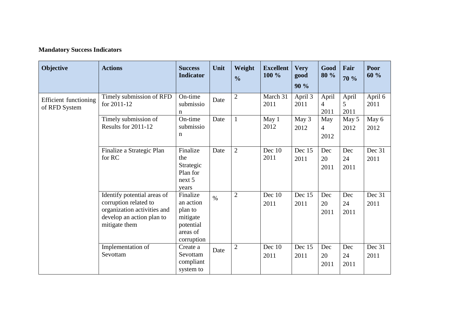#### **Mandatory Success Indicators**

| Objective                                     | <b>Actions</b>                                                                                                                    | <b>Success</b><br><b>Indicator</b>                                                  | Unit          | Weight<br>$\frac{0}{0}$ | <b>Excellent</b><br>100 % | <b>Very</b><br>good<br>90 % | Good<br>80 %                  | Fair<br>70 %       | Poor<br>60 %    |
|-----------------------------------------------|-----------------------------------------------------------------------------------------------------------------------------------|-------------------------------------------------------------------------------------|---------------|-------------------------|---------------------------|-----------------------------|-------------------------------|--------------------|-----------------|
| <b>Efficient functioning</b><br>of RFD System | Timely submission of RFD<br>for 2011-12                                                                                           | On-time<br>submissio<br>n                                                           | Date          | $\overline{2}$          | March 31<br>2011          | April 3<br>2011             | April<br>4<br>2011            | April<br>5<br>2011 | April 6<br>2011 |
|                                               | Timely submission of<br>Results for 2011-12                                                                                       | On-time<br>submissio<br>$\mathbf n$                                                 | Date          | $\mathbf{1}$            | May 1<br>2012             | May 3<br>2012               | May<br>$\overline{4}$<br>2012 | May 5<br>2012      | May 6<br>2012   |
|                                               | Finalize a Strategic Plan<br>for RC                                                                                               | Finalize<br>the<br>Strategic<br>Plan for<br>next 5<br>years                         | Date          | $\overline{2}$          | Dec 10<br>2011            | Dec 15<br>2011              | Dec<br>20<br>2011             | Dec<br>24<br>2011  | Dec 31<br>2011  |
|                                               | Identify potential areas of<br>corruption related to<br>organization activities and<br>develop an action plan to<br>mitigate them | Finalize<br>an action<br>plan to<br>mitigate<br>potential<br>areas of<br>corruption | $\frac{0}{0}$ | $\overline{2}$          | Dec $10$<br>2011          | Dec 15<br>2011              | Dec<br>20<br>2011             | Dec<br>24<br>2011  | Dec 31<br>2011  |
|                                               | Implementation of<br>Sevottam                                                                                                     | Create a<br>Sevottam<br>compliant<br>system to                                      | Date          | $\overline{2}$          | Dec 10<br>2011            | Dec 15<br>2011              | Dec<br>20<br>2011             | Dec<br>24<br>2011  | Dec 31<br>2011  |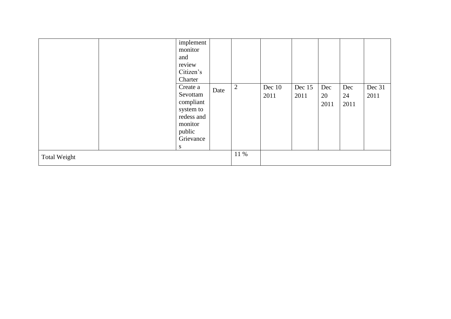|              | implement<br>monitor                                                                                |      |                |                |                |                   |                   |                |
|--------------|-----------------------------------------------------------------------------------------------------|------|----------------|----------------|----------------|-------------------|-------------------|----------------|
|              | and<br>review<br>Citizen's<br>Charter                                                               |      |                |                |                |                   |                   |                |
|              | Create a<br>Sevottam<br>compliant<br>system to<br>redess and<br>monitor<br>public<br>Grievance<br>S | Date | $\overline{2}$ | Dec 10<br>2011 | Dec 15<br>2011 | Dec<br>20<br>2011 | Dec<br>24<br>2011 | Dec 31<br>2011 |
| Total Weight |                                                                                                     |      | 11 %           |                |                |                   |                   |                |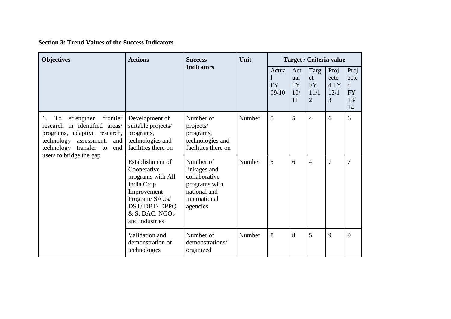**Section 3: Trend Values of the Success Indicators**

| <b>Objectives</b>                                                                                                                                                           | <b>Actions</b>                                                                                                                                         | <b>Success</b>                                                                                           | Unit   | Target / Criteria value     |                                      |                                                   |                                   |                                                       |  |
|-----------------------------------------------------------------------------------------------------------------------------------------------------------------------------|--------------------------------------------------------------------------------------------------------------------------------------------------------|----------------------------------------------------------------------------------------------------------|--------|-----------------------------|--------------------------------------|---------------------------------------------------|-----------------------------------|-------------------------------------------------------|--|
|                                                                                                                                                                             |                                                                                                                                                        | <b>Indicators</b>                                                                                        |        | Actua<br><b>FY</b><br>09/10 | Act<br>ual<br><b>FY</b><br>10/<br>11 | Targ<br>et<br><b>FY</b><br>11/1<br>$\overline{2}$ | Proj<br>ecte<br>d FY<br>12/1<br>3 | Proj<br>ecte<br>$\mathbf d$<br><b>FY</b><br>13/<br>14 |  |
| strengthen<br>frontier<br>To<br>1.<br>research in identified areas/<br>programs, adaptive research,<br>technology<br>assessment,<br>and<br>technology<br>transfer to<br>end | Development of<br>suitable projects/<br>programs,<br>technologies and<br>facilities there on                                                           | Number of<br>Number<br>projects/<br>programs,<br>technologies and<br>facilities there on                 |        | 5                           | 5                                    | $\overline{4}$                                    | 6                                 | 6                                                     |  |
| users to bridge the gap                                                                                                                                                     | Establishment of<br>Cooperative<br>programs with All<br>India Crop<br>Improvement<br>Program/SAUs/<br>DST/DBT/DPPQ<br>& S, DAC, NGOs<br>and industries | Number of<br>linkages and<br>collaborative<br>programs with<br>national and<br>international<br>agencies | Number | 5                           | 6                                    | $\overline{4}$                                    | $\overline{7}$                    | $\overline{7}$                                        |  |
|                                                                                                                                                                             | Validation and<br>demonstration of<br>technologies                                                                                                     | Number of<br>demonstrations/<br>organized                                                                | Number | 8                           | 8                                    | 5                                                 | 9                                 | 9                                                     |  |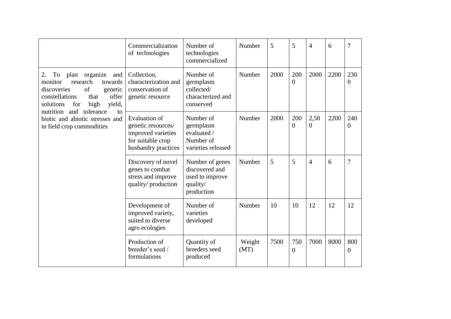|                                                                                                                                                                                | Commercialization<br>of technologies                                                                                                                 | Number of<br>technologies<br>commercialized                                    | Number         | 5    | 5                     | 4                | 6    | 7                     |
|--------------------------------------------------------------------------------------------------------------------------------------------------------------------------------|------------------------------------------------------------------------------------------------------------------------------------------------------|--------------------------------------------------------------------------------|----------------|------|-----------------------|------------------|------|-----------------------|
| organize<br>To<br>plan<br>2.<br>and<br>research<br>monitor<br>towards<br>of<br>discoveries<br>genetic<br>offer<br>constellations<br>that<br>high<br>yield,<br>solutions<br>for | Collection,<br>Number of<br>characterization and<br>germplasm<br>conservation of<br>collected/<br>characterized and<br>genetic resource<br>conserved |                                                                                | Number         | 2000 | 200<br>$\overline{0}$ | 2000             | 2200 | 230<br>$\overline{0}$ |
| tolerance<br>nutrition<br>and<br>$\mathbf{f}$<br>biotic and abiotic stresses and<br>in field crop commodities                                                                  | <b>Evaluation of</b><br>genetic resources/<br>improved varieties<br>for suitable crop<br>husbandry practices                                         | Number of<br>germplasm<br>evaluated /<br>Number of<br>varieties released       | Number         | 2000 | 200<br>$\theta$       | 2,50<br>$\Omega$ | 2200 | 240<br>0              |
|                                                                                                                                                                                | Discovery of novel<br>genes to combat<br>stress and improve<br>quality/production                                                                    | Number of genes<br>discovered and<br>used to improve<br>quality/<br>production | Number         | 5    | 5                     | 4                | 6    | 7                     |
|                                                                                                                                                                                | Development of<br>improved variety,<br>suited to diverse<br>agro ecologies                                                                           | Number of<br>varieties<br>developed                                            | Number         | 10   | 10                    | 12               | 12   | 12                    |
|                                                                                                                                                                                | Production of<br>breeder's seed /<br>formulations                                                                                                    | Quantity of<br>breeders seed<br>produced                                       | Weight<br>(MT) | 7500 | 750<br>$\theta$       | 7000             | 8000 | 800<br>$\overline{0}$ |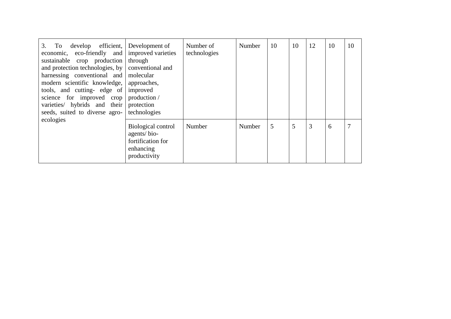| develop efficient,<br>3.<br>To<br>economic, eco-friendly and<br>sustainable crop production<br>and protection technologies, by<br>harnessing conventional and<br>modern scientific knowledge,<br>tools, and cutting- edge of<br>science for improved crop<br>varieties/ hybrids and their<br>seeds, suited to diverse agro-<br>ecologies | Development of<br>improved varieties<br>through<br>conventional and<br>molecular<br>approaches,<br>improved<br>production /<br>protection<br>technologies | Number of<br>technologies | Number | 10 | 10 | 12 | 10 | 10 |
|------------------------------------------------------------------------------------------------------------------------------------------------------------------------------------------------------------------------------------------------------------------------------------------------------------------------------------------|-----------------------------------------------------------------------------------------------------------------------------------------------------------|---------------------------|--------|----|----|----|----|----|
|                                                                                                                                                                                                                                                                                                                                          | Biological control<br>agents/bio-<br>fortification for<br>enhancing<br>productivity                                                                       | Number                    | Number | 5  | 5  | 3  | 6  | 7  |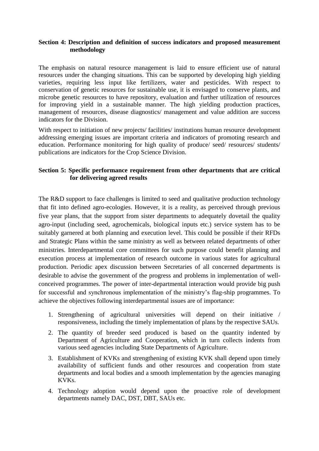#### **Section 4: Description and definition of success indicators and proposed measurement methodology**

The emphasis on natural resource management is laid to ensure efficient use of natural resources under the changing situations. This can be supported by developing high yielding varieties, requiring less input like fertilizers, water and pesticides. With respect to conservation of genetic resources for sustainable use, it is envisaged to conserve plants, and microbe genetic resources to have repository, evaluation and further utilization of resources for improving yield in a sustainable manner. The high yielding production practices, management of resources, disease diagnostics/ management and value addition are success indicators for the Division.

With respect to initiation of new projects/ facilities/ institutions human resource development addressing emerging issues are important criteria and indicators of promoting research and education. Performance monitoring for high quality of produce/ seed/ resources/ students/ publications are indicators for the Crop Science Division.

#### **Section 5: Specific performance requirement from other departments that are critical for delivering agreed results**

The R&D support to face challenges is limited to seed and qualitative production technology that fit into defined agro-ecologies. However, it is a reality, as perceived through previous five year plans, that the support from sister departments to adequately dovetail the quality agro-input (including seed, agrochemicals, biological inputs etc.) service system has to be suitably garnered at both planning and execution level. This could be possible if their RFDs and Strategic Plans within the same ministry as well as between related departments of other ministries. Interdepartmental core committees for such purpose could benefit planning and execution process at implementation of research outcome in various states for agricultural production. Periodic apex discussion between Secretaries of all concerned departments is desirable to advise the government of the progress and problems in implementation of wellconceived programmes. The power of inter-departmental interaction would provide big push for successful and synchronous implementation of the ministry's flag-ship programmes. To achieve the objectives following interdepartmental issues are of importance:

- 1. Strengthening of agricultural universities will depend on their initiative / responsiveness, including the timely implementation of plans by the respective SAUs.
- 2. The quantity of breeder seed produced is based on the quantity indented by Department of Agriculture and Cooperation, which in turn collects indents from various seed agencies including State Departments of Agriculture.
- 3. Establishment of KVKs and strengthening of existing KVK shall depend upon timely availability of sufficient funds and other resources and cooperation from state departments and local bodies and a smooth implementation by the agencies managing KVKs.
- 4. Technology adoption would depend upon the proactive role of development departments namely DAC, DST, DBT, SAUs etc.